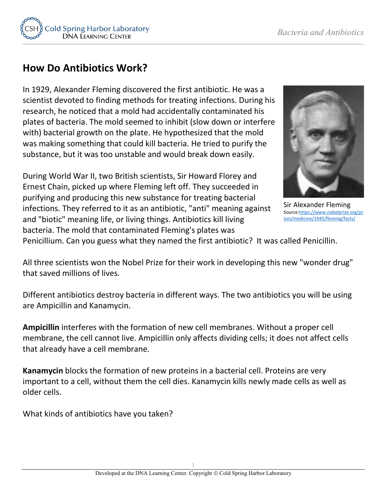

## **How Do Antibiotics Work?**

In 1929, Alexander Fleming discovered the first antibiotic. He was a scientist devoted to finding methods for treating infections. During his research, he noticed that a mold had accidentally contaminated his plates of bacteria. The mold seemed to inhibit (slow down or interfere with) bacterial growth on the plate. He hypothesized that the mold was making something that could kill bacteria. He tried to purify the substance, but it was too unstable and would break down easily.

During World War II, two British scientists, Sir Howard Florey and Ernest Chain, picked up where Fleming left off. They succeeded in purifying and producing this new substance for treating bacterial infections. They referred to it as an antibiotic, "anti" meaning against and "biotic" meaning life, or living things. Antibiotics kill living bacteria. The mold that contaminated Fleming's plates was



Sir Alexander Fleming Sourc[e:https://www.nobelprize.org/pr](https://www.nobelprize.org/prizes/medicine/1945/fleming/facts/) [izes/medicine/1945/fleming/facts/](https://www.nobelprize.org/prizes/medicine/1945/fleming/facts/)

Penicillium. Can you guess what they named the first antibiotic? It was called Penicillin.

All three scientists won the Nobel Prize for their work in developing this new "wonder drug" that saved millions of lives.

Different antibiotics destroy bacteria in different ways. The two antibiotics you will be using are Ampicillin and Kanamycin.

**Ampicillin** interferes with the formation of new cell membranes. Without a proper cell membrane, the cell cannot live. Ampicillin only affects dividing cells; it does not affect cells that already have a cell membrane.

**Kanamycin** blocks the formation of new proteins in a bacterial cell. Proteins are very important to a cell, without them the cell dies. Kanamycin kills newly made cells as well as older cells.

What kinds of antibiotics have you taken?